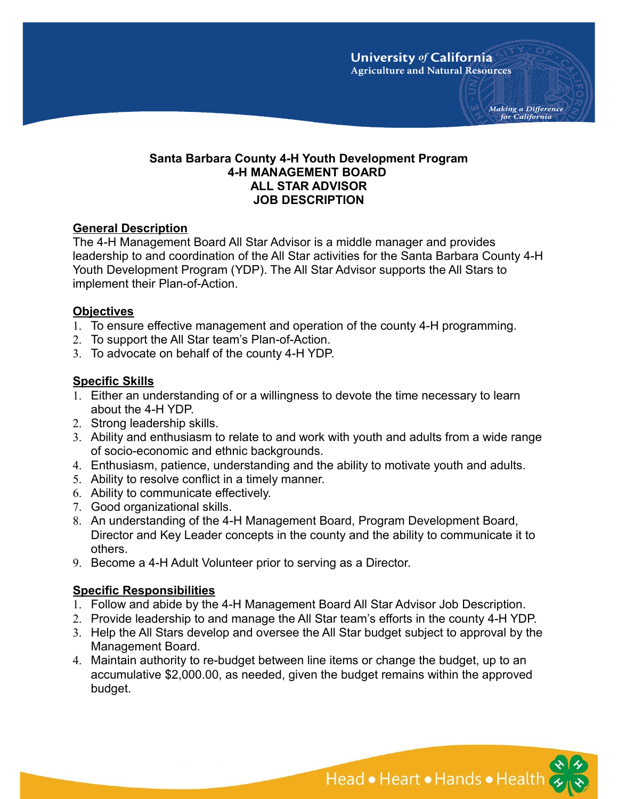Making a Difference for California

## **Santa Barbara County 4-H Youth Development Program 4-H MANAGEMENT BOARD ALL STAR ADVISOR JOB DESCRIPTION**

## **General Description**

The 4-H Management Board All Star Advisor is a middle manager and provides leadership to and coordination of the All Star activities for the Santa Barbara County 4-H Youth Development Program (YDP). The All Star Advisor supports the All Stars to implement their Plan-of-Action.

## **Objectives**

- 1. To ensure effective management and operation of the county 4-H programming.
- 2. To support the All Star team's Plan-of-Action.
- 3. To advocate on behalf of the county 4-H YDP.

# **Specific Skills**

- 1. Either an understanding of or a willingness to devote the time necessary to learn about the 4-H YDP.
- 2. Strong leadership skills.
- 3. Ability and enthusiasm to relate to and work with youth and adults from a wide range of socio-economic and ethnic backgrounds.
- 4. Enthusiasm, patience, understanding and the ability to motivate youth and adults.
- 5. Ability to resolve conflict in a timely manner.
- 6. Ability to communicate effectively.
- 7. Good organizational skills.
- 8. An understanding of the 4-H Management Board, Program Development Board, Director and Key Leader concepts in the county and the ability to communicate it to others.
- 9. Become a 4-H Adult Volunteer prior to serving as a Director.

# **Specific Responsibilities**

- 1. Follow and abide by the 4-H Management Board All Star Advisor Job Description.
- 2. Provide leadership to and manage the All Star team's efforts in the county 4-H YDP.
- 3. Help the All Stars develop and oversee the All Star budget subject to approval by the Management Board.
- 4. Maintain authority to re-budget between line items or change the budget, up to an accumulative \$2,000.00, as needed, given the budget remains within the approved budget.

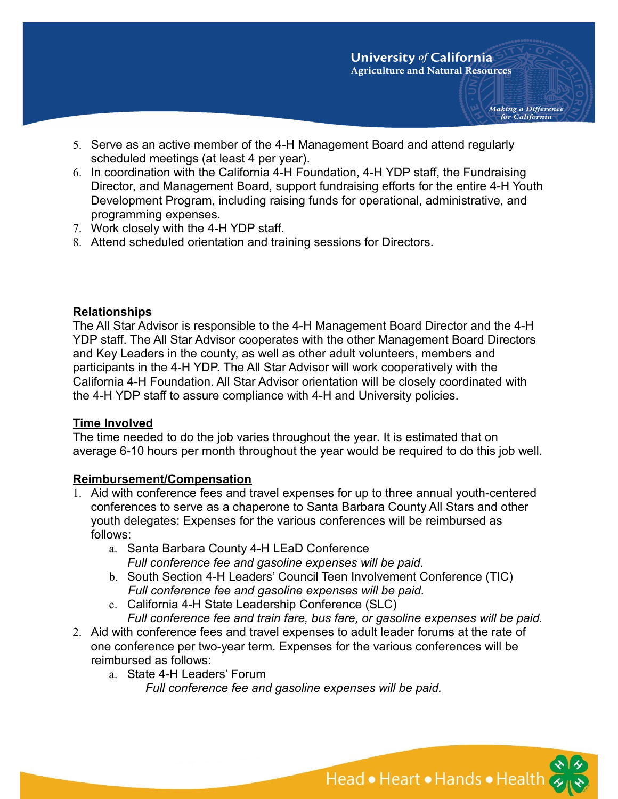Making a Difference for California

- 5. Serve as an active member of the 4-H Management Board and attend regularly scheduled meetings (at least 4 per year).
- 6. In coordination with the California 4-H Foundation, 4-H YDP staff, the Fundraising Director, and Management Board, support fundraising efforts for the entire 4-H Youth Development Program, including raising funds for operational, administrative, and programming expenses.
- 7. Work closely with the 4-H YDP staff.
- 8. Attend scheduled orientation and training sessions for Directors.

#### **Relationships**

The All Star Advisor is responsible to the 4-H Management Board Director and the 4-H YDP staff. The All Star Advisor cooperates with the other Management Board Directors and Key Leaders in the county, as well as other adult volunteers, members and participants in the 4-H YDP. The All Star Advisor will work cooperatively with the California 4-H Foundation. All Star Advisor orientation will be closely coordinated with the 4-H YDP staff to assure compliance with 4-H and University policies.

### **Time Involved**

The time needed to do the job varies throughout the year. It is estimated that on average 6-10 hours per month throughout the year would be required to do this job well.

### **Reimbursement/Compensation**

- 1. Aid with conference fees and travel expenses for up to three annual youth-centered conferences to serve as a chaperone to Santa Barbara County All Stars and other youth delegates: Expenses for the various conferences will be reimbursed as follows:
	- a. Santa Barbara County 4-H LEaD Conference *Full conference fee and gasoline expenses will be paid.*
	- b. South Section 4-H Leaders' Council Teen Involvement Conference (TIC)  *Full conference fee and gasoline expenses will be paid.*
	- c. California 4-H State Leadership Conference (SLC)

*Full conference fee and train fare, bus fare, or gasoline expenses will be paid.*

- 2. Aid with conference fees and travel expenses to adult leader forums at the rate of one conference per two-year term. Expenses for the various conferences will be reimbursed as follows:
	- a. State 4-H Leaders' Forum

*Full conference fee and gasoline expenses will be paid.*

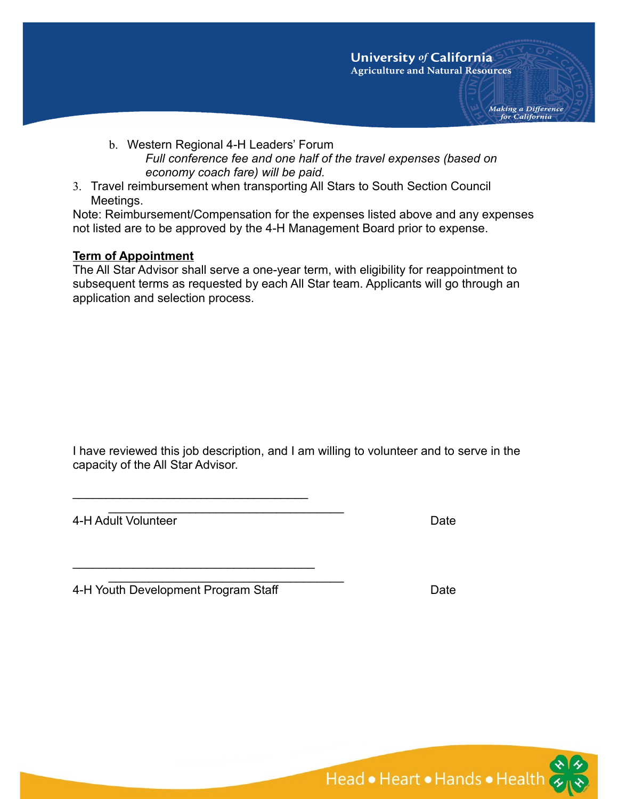Making a Difference for California

- b. Western Regional 4-H Leaders' Forum *Full conference fee and one half of the travel expenses (based on economy coach fare) will be paid.*
- 3. Travel reimbursement when transporting All Stars to South Section Council Meetings.

Note: Reimbursement/Compensation for the expenses listed above and any expenses not listed are to be approved by the 4-H Management Board prior to expense.

#### **Term of Appointment**

The All Star Advisor shall serve a one-year term, with eligibility for reappointment to subsequent terms as requested by each All Star team. Applicants will go through an application and selection process.

I have reviewed this job description, and I am willing to volunteer and to serve in the capacity of the All Star Advisor.

4-H Adult Volunteer Date

4-H Youth Development Program Staff **Date** Date

 $\mathcal{L}_\text{max}$  and  $\mathcal{L}_\text{max}$  and  $\mathcal{L}_\text{max}$  and  $\mathcal{L}_\text{max}$ 

 $\mathcal{L}_\text{max}$  and  $\mathcal{L}_\text{max}$  and  $\mathcal{L}_\text{max}$  and  $\mathcal{L}_\text{max}$ 

\_\_\_\_\_\_\_\_\_\_\_\_\_\_\_\_\_\_\_\_\_\_\_\_\_\_\_\_\_\_\_\_\_\_\_

\_\_\_\_\_\_\_\_\_\_\_\_\_\_\_\_\_\_\_\_\_\_\_\_\_\_\_\_\_\_\_\_\_\_\_